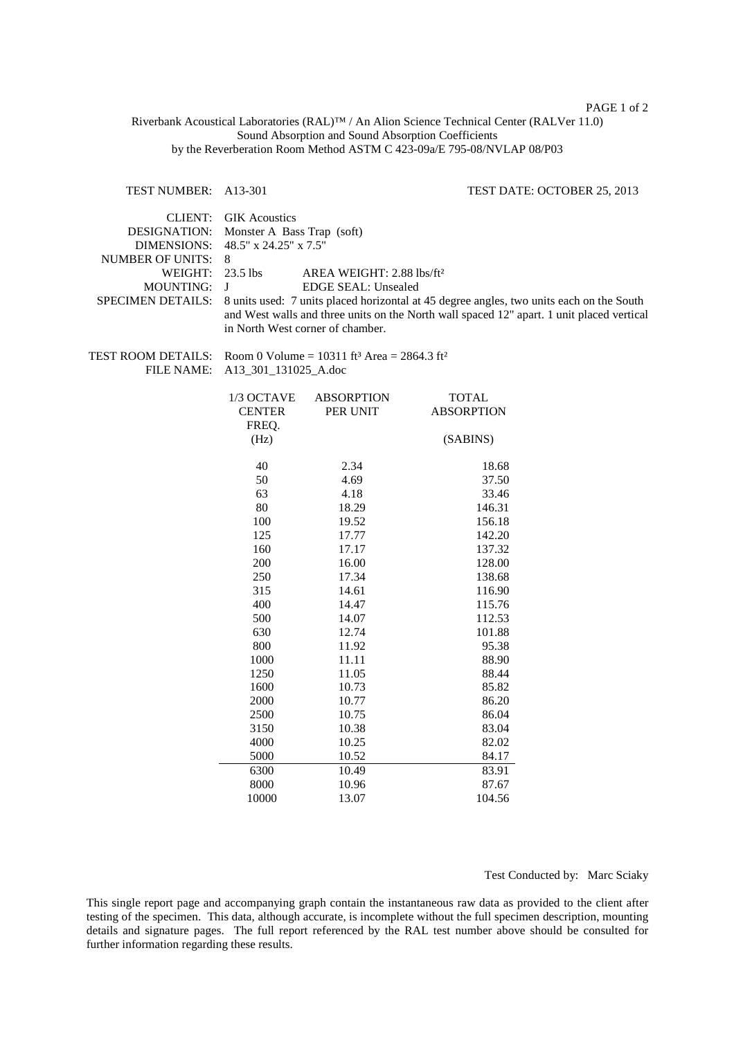## PAGE 1 of 2

Riverbank Acoustical Laboratories (RAL)™ / An Alion Science Technical Center (RALVer 11.0) Sound Absorption and Sound Absorption Coefficients by the Reverberation Room Method ASTM C 423-09a/E 795-08/NVLAP 08/P03

## TEST NUMBER: A13-301 TEST DATE: OCTOBER 25, 2013

| CLIENT:<br>DESIGNATION:<br><b>DIMENSIONS:</b><br><b>NUMBER OF UNITS:</b><br>WEIGHT:<br><b>MOUNTING:</b><br>SPECIMEN DETAILS: | <b>GIK Acoustics</b><br>Monster A Bass Trap (soft)<br>48.5" x 24.25" x 7.5"<br>8<br>23.5 lbs<br>AREA WEIGHT: 2.88 lbs/ft <sup>2</sup><br>J<br><b>EDGE SEAL: Unsealed</b><br>8 units used: 7 units placed horizontal at 45 degree angles, two units each on the South<br>and West walls and three units on the North wall spaced 12" apart. 1 unit placed vertical<br>in North West corner of chamber. |                               |                                   |  |
|------------------------------------------------------------------------------------------------------------------------------|-------------------------------------------------------------------------------------------------------------------------------------------------------------------------------------------------------------------------------------------------------------------------------------------------------------------------------------------------------------------------------------------------------|-------------------------------|-----------------------------------|--|
| <b>TEST ROOM DETAILS:</b><br><b>FILE NAME:</b>                                                                               | Room 0 Volume = $10311$ ft <sup>3</sup> Area = $2864.3$ ft <sup>2</sup><br>A13_301_131025_A.doc                                                                                                                                                                                                                                                                                                       |                               |                                   |  |
|                                                                                                                              | 1/3 OCTAVE<br><b>CENTER</b><br>FREQ.                                                                                                                                                                                                                                                                                                                                                                  | <b>ABSORPTION</b><br>PER UNIT | <b>TOTAL</b><br><b>ABSORPTION</b> |  |
|                                                                                                                              | (Hz)                                                                                                                                                                                                                                                                                                                                                                                                  |                               | (SABINS)                          |  |
|                                                                                                                              | 40                                                                                                                                                                                                                                                                                                                                                                                                    | 2.34                          | 18.68                             |  |
|                                                                                                                              | 50                                                                                                                                                                                                                                                                                                                                                                                                    | 4.69                          | 37.50                             |  |
|                                                                                                                              | 63                                                                                                                                                                                                                                                                                                                                                                                                    | 4.18                          | 33.46                             |  |
|                                                                                                                              | 80                                                                                                                                                                                                                                                                                                                                                                                                    | 18.29                         | 146.31                            |  |
|                                                                                                                              | 100                                                                                                                                                                                                                                                                                                                                                                                                   | 19.52                         | 156.18                            |  |
|                                                                                                                              | 125                                                                                                                                                                                                                                                                                                                                                                                                   | 17.77                         | 142.20                            |  |
|                                                                                                                              | 160                                                                                                                                                                                                                                                                                                                                                                                                   | 17.17                         | 137.32                            |  |
|                                                                                                                              | 200                                                                                                                                                                                                                                                                                                                                                                                                   | 16.00                         | 128.00                            |  |
|                                                                                                                              | 250                                                                                                                                                                                                                                                                                                                                                                                                   | 17.34                         | 138.68                            |  |
|                                                                                                                              | 315                                                                                                                                                                                                                                                                                                                                                                                                   | 14.61                         | 116.90                            |  |
|                                                                                                                              | 400                                                                                                                                                                                                                                                                                                                                                                                                   | 14.47                         | 115.76                            |  |
|                                                                                                                              | 500                                                                                                                                                                                                                                                                                                                                                                                                   | 14.07                         | 112.53                            |  |
|                                                                                                                              | 630                                                                                                                                                                                                                                                                                                                                                                                                   | 12.74                         | 101.88                            |  |
|                                                                                                                              | 800                                                                                                                                                                                                                                                                                                                                                                                                   | 11.92                         | 95.38                             |  |
|                                                                                                                              | 1000                                                                                                                                                                                                                                                                                                                                                                                                  | 11.11                         | 88.90                             |  |
|                                                                                                                              | 1250                                                                                                                                                                                                                                                                                                                                                                                                  | 11.05                         | 88.44                             |  |
|                                                                                                                              | 1600                                                                                                                                                                                                                                                                                                                                                                                                  | 10.73                         | 85.82                             |  |
|                                                                                                                              | 2000                                                                                                                                                                                                                                                                                                                                                                                                  | 10.77                         | 86.20                             |  |
|                                                                                                                              | 2500                                                                                                                                                                                                                                                                                                                                                                                                  | 10.75                         | 86.04                             |  |
|                                                                                                                              | 3150                                                                                                                                                                                                                                                                                                                                                                                                  | 10.38                         | 83.04                             |  |
|                                                                                                                              | 4000                                                                                                                                                                                                                                                                                                                                                                                                  | 10.25                         | 82.02                             |  |
|                                                                                                                              | 5000                                                                                                                                                                                                                                                                                                                                                                                                  | 10.52                         | 84.17                             |  |
|                                                                                                                              | 6300                                                                                                                                                                                                                                                                                                                                                                                                  | 10.49                         | 83.91                             |  |
|                                                                                                                              | 8000                                                                                                                                                                                                                                                                                                                                                                                                  | 10.96                         | 87.67                             |  |
|                                                                                                                              | 10000                                                                                                                                                                                                                                                                                                                                                                                                 | 13.07                         | 104.56                            |  |

Test Conducted by: Marc Sciaky

This single report page and accompanying graph contain the instantaneous raw data as provided to the client after testing of the specimen. This data, although accurate, is incomplete without the full specimen description, mounting details and signature pages. The full report referenced by the RAL test number above should be consulted for further information regarding these results.